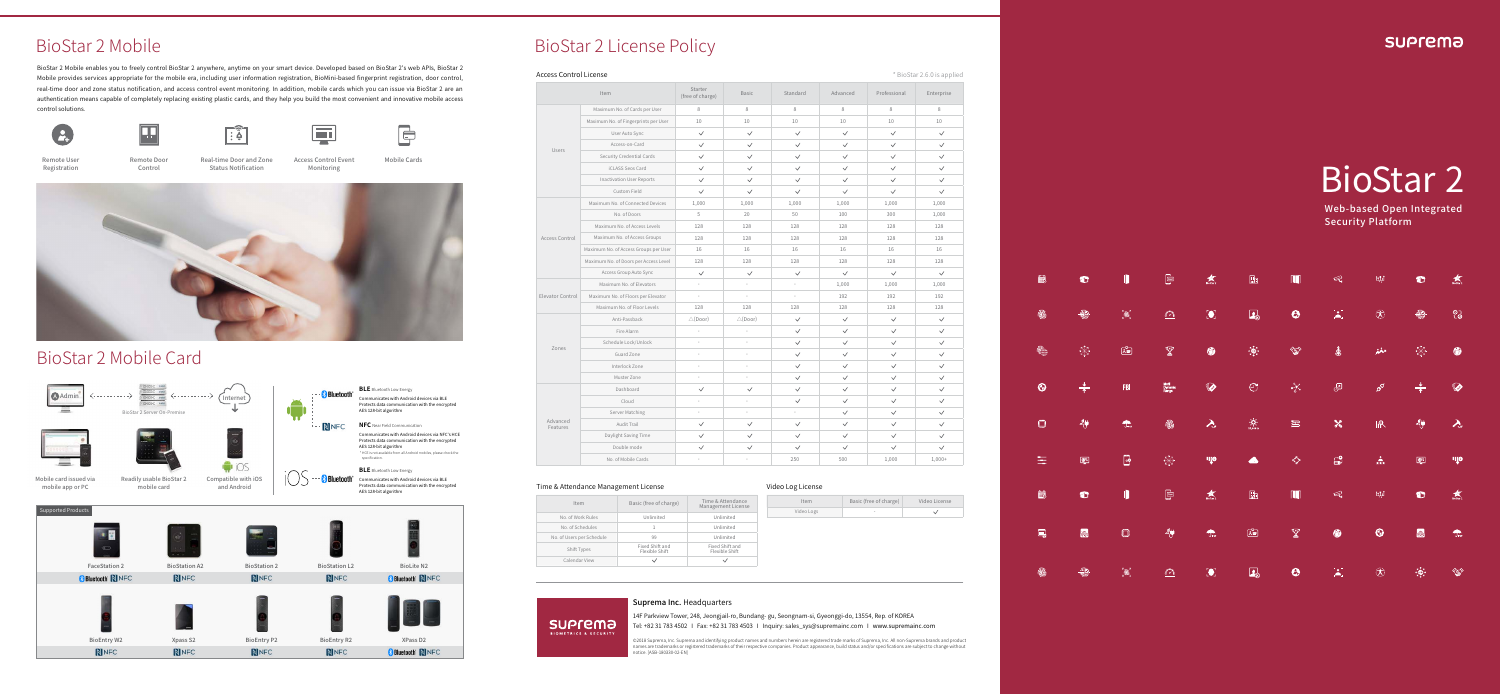### Suprema Inc. Headquarters

14F Parkview Tower, 248, Jeongjail-ro, Bundang- gu, Seongnam-si, Gyeonggi-do, 13554, Rep. of KOREA Tel: +82 31 783 4502 I Fax: +82 31 783 4503 I Inquiry: sales\_sys@supremainc.com I www.supremainc.com

nnes are trademarks or regi<br>btice. [ASB-180330-02-EN]

#### **SUP**rema

Access Control Event Monitoring Remote Door Real-time Door and Zone Access Control Event Mobile Cards

匣





BioStar 2 Mobile enables you to freely control BioStar 2 anywhere, anytime on your smart device. Developed based on BioStar 2's web APIs, BioStar 2 Mobile provides services appropriate for the mobile era, including user information registration, BioMini-based fingerprint registration, door control, real-time door and zone status notification, and access control event monitoring. In addition, mobile cards which you can issue via BioStar 2 are an authentication means capable of completely replacing existing plastic cards, and they help you build the most convenient and innovative mobile access control solutions.



# BioStar 2 Mobile

Remote User Registration





Status Notification

 $\lceil \widehat{\mathbf{a}} \rceil$ 

Control



# BioStar 2 Mobile Card



## BioStar 2 License Policy

#### **Access Control License** \* BioStar 2.6.0 is applied

|                      | Item                                  | Starter<br>(free of charge) | <b>Basic</b>       | Standard     | Advanced     | Professional | Enterpr      |
|----------------------|---------------------------------------|-----------------------------|--------------------|--------------|--------------|--------------|--------------|
|                      | Maximum No. of Cards per User         | 8                           | 8                  | 8            | 8            | 8            | 8            |
|                      | Maximum No. of Fingerprints per User  | 10                          | 10                 | 10           | 10           | 10           | 10           |
|                      | User Auto Sync                        | $\checkmark$                | $\checkmark$       | $\checkmark$ | $\checkmark$ | $\checkmark$ | $\checkmark$ |
|                      | Access-on-Card                        | $\checkmark$                | $\checkmark$       | $\checkmark$ | $\checkmark$ | $\checkmark$ | $\checkmark$ |
| Users                | Security Credential Cards             | $\checkmark$                | $\checkmark$       | $\checkmark$ | $\checkmark$ | $\checkmark$ | $\checkmark$ |
|                      | iCLASS Seos Card                      | $\checkmark$                | $\checkmark$       | $\checkmark$ | $\checkmark$ | $\checkmark$ | $\checkmark$ |
|                      | <b>Inactivation User Reports</b>      | $\checkmark$                | $\checkmark$       | $\checkmark$ | $\checkmark$ | $\checkmark$ | $\checkmark$ |
|                      | Custom Field                          | $\checkmark$                | $\checkmark$       | $\checkmark$ | $\checkmark$ | $\checkmark$ | $\checkmark$ |
|                      | Maximum No. of Connected Devices      | 1,000                       | 1,000              | 1,000        | 1,000        | 1,000        | 1,000        |
|                      | No. of Doors                          | 5                           | 20                 | 50           | 100          | 300          | 1,000        |
|                      | Maximum No. of Access Levels          | 128                         | 128                | 128          | 128          | 128          | 128          |
| Access Control       | Maximum No. of Access Groups          | 128                         | 128                | 128          | 128          | 128          | 128          |
|                      | Maximum No. of Access Groups per User | 16                          | 16                 | 16           | 16           | 16           | 16           |
|                      | Maximum No. of Doors per Access Level | 128                         | 128                | 128          | 128          | 128          | 128          |
|                      | Access Group Auto Sync                | $\checkmark$                | $\checkmark$       | $\checkmark$ | $\checkmark$ | $\checkmark$ | $\checkmark$ |
|                      | Maximum No. of Elevators              |                             | ×,                 | i,           | 1,000        | 1,000        | 1,000        |
| Elevator Control     | Maximum No. of Floors per Elevator    | ×,                          | ÷,                 | ×            | 192          | 192          | 192          |
|                      | Maximum No. of Floor Levels           | 128                         | 128                | 128          | 128          | 128          | 128          |
|                      | Anti-Passback                         | $\triangle$ (Door)          | $\triangle$ (Door) | $\checkmark$ | $\checkmark$ | $\checkmark$ | $\checkmark$ |
|                      | Fire Alarm                            |                             | $\sim$             | $\checkmark$ | $\checkmark$ | $\checkmark$ | $\checkmark$ |
|                      | Schedule Lock/Unlock                  |                             | ×,                 | $\checkmark$ | $\checkmark$ | $\checkmark$ | $\checkmark$ |
| Zones                | Guard Zone                            |                             | ÷                  | $\checkmark$ | $\checkmark$ | $\checkmark$ | $\checkmark$ |
|                      | Interlock Zone                        | ÷                           | ÷,                 | $\checkmark$ | $\checkmark$ | $\checkmark$ | $\checkmark$ |
|                      | Muster Zone                           |                             |                    | $\checkmark$ | $\checkmark$ | $\checkmark$ | $\checkmark$ |
| Advanced<br>Features | Dashboard                             | $\checkmark$                | $\checkmark$       | $\checkmark$ | $\checkmark$ | $\checkmark$ | $\checkmark$ |
|                      | Cloud                                 |                             |                    | $\checkmark$ | $\checkmark$ | $\checkmark$ | $\checkmark$ |
|                      | Server Matching                       | ×.                          | ×,                 | u.           | $\checkmark$ | $\checkmark$ | $\checkmark$ |
|                      | Audit Trail                           | $\checkmark$                | $\checkmark$       | $\checkmark$ | $\checkmark$ | $\checkmark$ | $\checkmark$ |
|                      | Daylight Saving Time                  | $\checkmark$                | $\checkmark$       | $\checkmark$ | $\checkmark$ | $\checkmark$ | $\checkmark$ |
|                      | Double mode                           | $\checkmark$                | $\checkmark$       | $\checkmark$ | $\checkmark$ | $\checkmark$ | $\checkmark$ |
|                      | No. of Mobile Cards                   |                             |                    | 250          | 500          | 1,000        | 1,000        |

#### Time & Attendance Management License Video Log License

**SUP**rema

|  | V |
|--|---|
|  |   |

| Item                              | Starter<br>(free of charge) | <b>Basic</b>       | Standard     | Advanced     | Professional | Enterprise   |
|-----------------------------------|-----------------------------|--------------------|--------------|--------------|--------------|--------------|
| Aaximum No. of Cards per User     | 8                           | 8                  | 8            | 8            | 8            | 8            |
| imum No. of Fingerprints per User | 10                          | 10                 | 10           | 10           | 10           | 10           |
| User Auto Sync                    | $\checkmark$                | $\checkmark$       | $\checkmark$ | $\checkmark$ | $\checkmark$ | $\checkmark$ |
| Access-on-Card                    | $\checkmark$                | $\checkmark$       | $\checkmark$ | $\checkmark$ | $\checkmark$ | $\checkmark$ |
| Security Credential Cards         | $\checkmark$                | $\checkmark$       | $\checkmark$ | $\checkmark$ | $\checkmark$ | $\checkmark$ |
| iCLASS Seos Card                  | $\checkmark$                | $\checkmark$       | $\checkmark$ | $\checkmark$ | $\checkmark$ | $\checkmark$ |
| <b>Inactivation User Reports</b>  | $\checkmark$                | $\checkmark$       | $\checkmark$ | $\checkmark$ | $\checkmark$ | $\checkmark$ |
| Custom Field                      | $\checkmark$                | $\checkmark$       | $\checkmark$ | $\checkmark$ | $\checkmark$ | $\checkmark$ |
| ximum No. of Connected Devices    | 1,000                       | 1,000              | 1,000        | 1,000        | 1,000        | 1,000        |
| No. of Doors                      | 5                           | 20                 | 50           | 100          | 300          | 1,000        |
| Maximum No. of Access Levels      | 128                         | 128                | 128          | 128          | 128          | 128          |
| Maximum No. of Access Groups      | 128                         | 128                | 128          | 128          | 128          | 128          |
| mum No. of Access Groups per User | 16                          | 16                 | 16           | 16           | 16           | 16           |
| mum No. of Doors per Access Level | 128                         | 128                | 128          | 128          | 128          | 128          |
| Access Group Auto Sync            | $\checkmark$                | $\checkmark$       | $\checkmark$ | $\checkmark$ | $\checkmark$ | $\checkmark$ |
| Maximum No. of Elevators          | J.                          | L.                 | ×,           | 1,000        | 1,000        | 1,000        |
| ximum No. of Floors per Elevator  | ÷,                          | ä,                 | ×.           | 192          | 192          | 192          |
| Maximum No. of Floor Levels       | 128                         | 128                | 128          | 128          | 128          | 128          |
| Anti-Passback                     | $\triangle$ (Door)          | $\triangle$ (Door) | $\checkmark$ | $\checkmark$ | $\checkmark$ | $\checkmark$ |
| Fire Alarm                        |                             |                    | $\checkmark$ | $\checkmark$ | $\checkmark$ | $\checkmark$ |
| Schedule Lock/Unlock              | ä,                          | J.                 | $\checkmark$ | $\checkmark$ | $\checkmark$ | $\checkmark$ |
| Guard Zone                        | $\overline{\phantom{a}}$    | ä,                 | $\checkmark$ | $\checkmark$ | $\checkmark$ | $\checkmark$ |
| Interlock Zone                    | ×,                          | ä,                 | $\checkmark$ | $\checkmark$ | $\checkmark$ | $\checkmark$ |
| Muster Zone                       | ÷.                          | ÷                  | $\checkmark$ | $\checkmark$ | $\checkmark$ | $\checkmark$ |
| Dashboard                         | $\checkmark$                | $\checkmark$       | $\checkmark$ | $\checkmark$ | $\checkmark$ | $\checkmark$ |
| Cloud                             |                             |                    | $\checkmark$ | $\checkmark$ | $\checkmark$ | $\checkmark$ |
| Server Matching                   |                             |                    |              | $\checkmark$ | $\checkmark$ | $\checkmark$ |
| Audit Trail                       | $\checkmark$                | $\checkmark$       | $\checkmark$ | $\checkmark$ | $\checkmark$ | $\checkmark$ |
| Daylight Saving Time              | $\checkmark$                | $\checkmark$       | $\checkmark$ | $\checkmark$ | $\checkmark$ | $\checkmark$ |
| Double mode                       | $\checkmark$                | $\checkmark$       | $\checkmark$ | $\checkmark$ | $\checkmark$ | $\checkmark$ |
| No. of Mobile Cards               | $\sim$                      | ÷.                 | 250          | 500          | 1,000        | $1,000+$     |

©2018 Suprema, Inc. Suprema and identifying product names and numbers herein are registered trade marks of Suprema, Inc. All non-Suprema brands and product<br>names are trademarks or registered trademarks of their respective

| Item                      | Basic (free of charge)            | Time & Attendance<br>Management License | Item       | Basic (free of charge) | Video License |
|---------------------------|-----------------------------------|-----------------------------------------|------------|------------------------|---------------|
| No. of Work Rules         | Unlimited                         | Unlimited                               | Video Logs | $\sim$                 | $\checkmark$  |
| No. of Schedules          |                                   | Unlimited                               |            |                        |               |
| No. of Users per Schedule | 99                                | Unlimited                               |            |                        |               |
| Shift Types               | Fixed Shift and<br>Flexible Shift | Fixed Shift and<br>Flexible Shift       |            |                        |               |
| Calendar View             | $\checkmark$                      | $\checkmark$                            |            |                        |               |

Web-based Open Integrated Security Platform

| İ,                                                                       | $\bullet$                            | D                                     | $\fbox{ \begin{tabular}{ c c } \hline \quad \quad & \quad \quad & \quad \quad \\ \hline \hline \quad \quad & \quad \quad & \quad \quad \\ \hline \quad \quad & \quad \quad & \quad \quad \\ \hline \quad \quad & \quad \quad & \quad \quad \\ \hline \end{tabular} }$ | $\overrightarrow{Biostar2}$ | $\mathbb{B}$                                                                                                                                      | $\blacksquare$                 | $\mathcal{Q}$                                                        | $\mathbb{H}^1_+$                      | $\bullet$                                                                                                                                                                                                                                                                                                                                                                                                                                                                                                       | $\underset{\text{Biostar }2}{\bigstar}$ |
|--------------------------------------------------------------------------|--------------------------------------|---------------------------------------|-----------------------------------------------------------------------------------------------------------------------------------------------------------------------------------------------------------------------------------------------------------------------|-----------------------------|---------------------------------------------------------------------------------------------------------------------------------------------------|--------------------------------|----------------------------------------------------------------------|---------------------------------------|-----------------------------------------------------------------------------------------------------------------------------------------------------------------------------------------------------------------------------------------------------------------------------------------------------------------------------------------------------------------------------------------------------------------------------------------------------------------------------------------------------------------|-----------------------------------------|
| $\circledR$                                                              | $\circledast$                        | $\text{R}^{\text{max}}$               | $\Omega$                                                                                                                                                                                                                                                              | $\left[\bullet\right]$      | $\mathbf{R}_\infty$                                                                                                                               | $\boldsymbol{\Theta}$          | $\mathbf{X}$                                                         | $\bigcircledR$                        | ÷                                                                                                                                                                                                                                                                                                                                                                                                                                                                                                               | $\frac{1}{2}$                           |
| $\widehat{\left(\widehat{\mathbb{G}}_{\text{unif}}^{\text{max}}\right)}$ | $\bigotimes_{i=1}^{n}$               | $\boxed{\mathbb{R}^{\mathbb{C}}_{-}}$ | $\mathbb{Y}$                                                                                                                                                                                                                                                          | ◎                           | $\qquad \qquad \overbrace{\mathstrut\smash\cdot\,}^{\kappa}\bigoplus\limits_{\mathstrut\downarrow\,}^{\kappa}\mathstrut\rightarrow \qquad \qquad$ | <b>CENT</b>                    | $\mathbf{\mathfrak{g}}$                                              | المغفر                                | $\begin{smallmatrix} \mathbb{R}^n_+ \rightarrow \mathbb{R}^n_+ \rightarrow \mathbb{R}^n_+ \rightarrow \mathbb{R}^n_+ \rightarrow \mathbb{R}^n_+ \rightarrow \mathbb{R}^n_+ \rightarrow \mathbb{R}^n_+ \rightarrow \mathbb{R}^n_+ \rightarrow \mathbb{R}^n_+ \rightarrow \mathbb{R}^n_+ \rightarrow \mathbb{R}^n_+ \rightarrow \mathbb{R}^n_+ \rightarrow \mathbb{R}^n_+ \rightarrow \mathbb{R}^n_+ \rightarrow \mathbb{R}^n_+ \rightarrow \mathbb{R}^n_+ \rightarrow \mathbb{R}^n_+ \rightarrow \mathbb{R}^n_+$ | 6                                       |
| $\odot$                                                                  | $\frac{1}{\uparrow}$                 | <b>FBI</b>                            | Multi<br>Dynamic<br>Range                                                                                                                                                                                                                                             | $\bullet$                   | $\mathop{\mathbb C}$                                                                                                                              | $\chi$                         | $\bigoplus$                                                          | $\beta^{\!\mathcal{O}}$               | $\frac{1}{\uparrow}$                                                                                                                                                                                                                                                                                                                                                                                                                                                                                            | $\bullet$                               |
| $\Box$                                                                   | $\frac{44}{3}$                       | $T_{\text{per}}$                      | $\circledR$                                                                                                                                                                                                                                                           | $\lambda_{\nu}$             | $\cdot \circ \cdot$<br>25,000 k                                                                                                                   | $\Xi$                          | $\boldsymbol{\varkappa}$                                             | $\mathbb{R}$                          | $\sqrt[4]{}$                                                                                                                                                                                                                                                                                                                                                                                                                                                                                                    | $\lambda_{\nu}$                         |
| 玉                                                                        | $\overline{\mathbb{Q}^{\mathbb{Q}}}$ | $\blacksquare$                        | $\bigoplus_{k=0}^{n} \bigoplus_{j=1}^{n}$                                                                                                                                                                                                                             | що                          | $\bullet$                                                                                                                                         | $\zeta_\mathcal{P}^\mathbf{S}$ | $\Xi$                                                                | $\frac{1}{\sqrt{2}k}$                 | $\overline{\mathbb{Q}^{\mathbb{Q}}}$                                                                                                                                                                                                                                                                                                                                                                                                                                                                            | що                                      |
| $\blacksquare$                                                           | $\bullet$                            | $\blacksquare$                        | $\begin{tabular}{ c c } \hline \quad \quad & \quad \quad & \quad \quad \\ \hline \end{tabular}$                                                                                                                                                                       | $\sum_{\text{Biostar 2}}$   | $\mathbb{R}$                                                                                                                                      | $\blacksquare$                 | $\mathcal{Q}$                                                        | $\mathbf{h}^{\dagger}_{\mathbf{q}}$   | $\bullet$                                                                                                                                                                                                                                                                                                                                                                                                                                                                                                       | $\overrightarrow{B_{\text{loStar2}}}$   |
| $\blacksquare$                                                           | <b>Q</b>                             | $\Box$                                | $\sqrt[4]{}$                                                                                                                                                                                                                                                          | $T_{\text{per}}$            | $\mathbb{E}^2$                                                                                                                                    | $\mathbb{Y}$                   | 6                                                                    | $\odot$                               | <b>Q</b>                                                                                                                                                                                                                                                                                                                                                                                                                                                                                                        | $T_{\text{ref}}$                        |
| $\circledR$                                                              | ÷                                    | $\text{M} \in \text{M}^2$             | $\Omega$                                                                                                                                                                                                                                                              | $\left[\bullet\right]$      | $\Box$                                                                                                                                            | $\boldsymbol{\Theta}$          | $\left[\begin{matrix}\bullet\\ \bullet\\ \bullet\end{matrix}\right]$ | $\bigcirc \!\!\!\! \!\!\!\! \bigcirc$ | $\widetilde{\mathcal{L}}_{\mathbf{r}}$                                                                                                                                                                                                                                                                                                                                                                                                                                                                          | <b>Contract</b>                         |

# BioStar 2